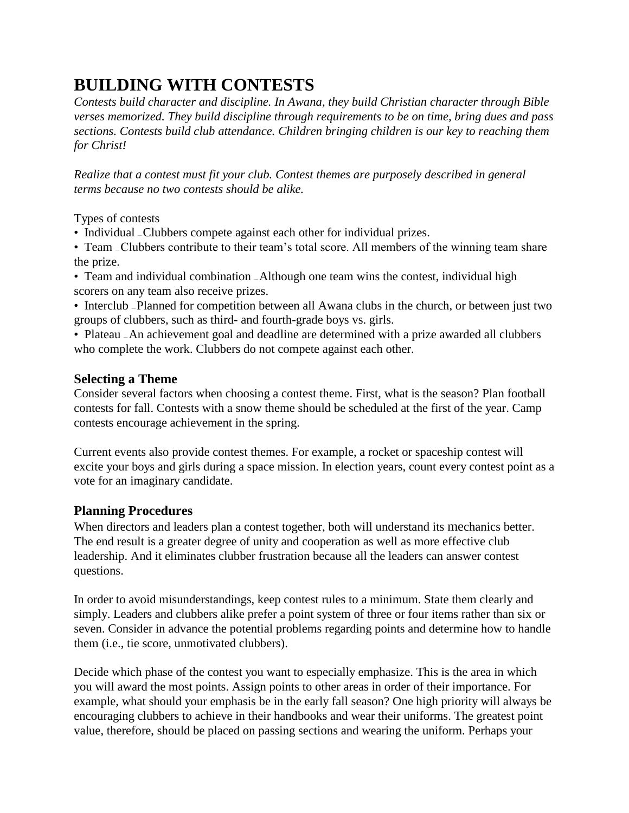# **BUILDING WITH CONTESTS**

*Contests build character and discipline. In Awana, they build Christian character through Bible verses memorized. They build discipline through requirements to be on time, bring dues and pass sections. Contests build club attendance. Children bringing children is our key to reaching them for Christ!*

*Realize that a contest must fit your club. Contest themes are purposely described in general terms because no two contests should be alike.*

Types of contests

• Individual – Clubbers compete against each other for individual prizes.

• Team – Clubbers contribute to their team's total score. All members of the winning team share the prize.

• Team and individual combination — Although one team wins the contest, individual high scorers on any team also receive prizes.

• Interclub — Planned for competition between all Awana clubs in the church, or between just two groups of clubbers, such as third- and fourth-grade boys vs. girls.

• Plateau – An achievement goal and deadline are determined with a prize awarded all clubbers who complete the work. Clubbers do not compete against each other.

### **Selecting a Theme**

Consider several factors when choosing a contest theme. First, what is the season? Plan football contests for fall. Contests with a snow theme should be scheduled at the first of the year. Camp contests encourage achievement in the spring.

Current events also provide contest themes. For example, a rocket or spaceship contest will excite your boys and girls during a space mission. In election years, count every contest point as a vote for an imaginary candidate.

### **Planning Procedures**

When directors and leaders plan a contest together, both will understand its mechanics better. The end result is a greater degree of unity and cooperation as well as more effective club leadership. And it eliminates clubber frustration because all the leaders can answer contest questions.

In order to avoid misunderstandings, keep contest rules to a minimum. State them clearly and simply. Leaders and clubbers alike prefer a point system of three or four items rather than six or seven. Consider in advance the potential problems regarding points and determine how to handle them (i.e., tie score, unmotivated clubbers).

Decide which phase of the contest you want to especially emphasize. This is the area in which you will award the most points. Assign points to other areas in order of their importance. For example, what should your emphasis be in the early fall season? One high priority will always be encouraging clubbers to achieve in their handbooks and wear their uniforms. The greatest point value, therefore, should be placed on passing sections and wearing the uniform. Perhaps your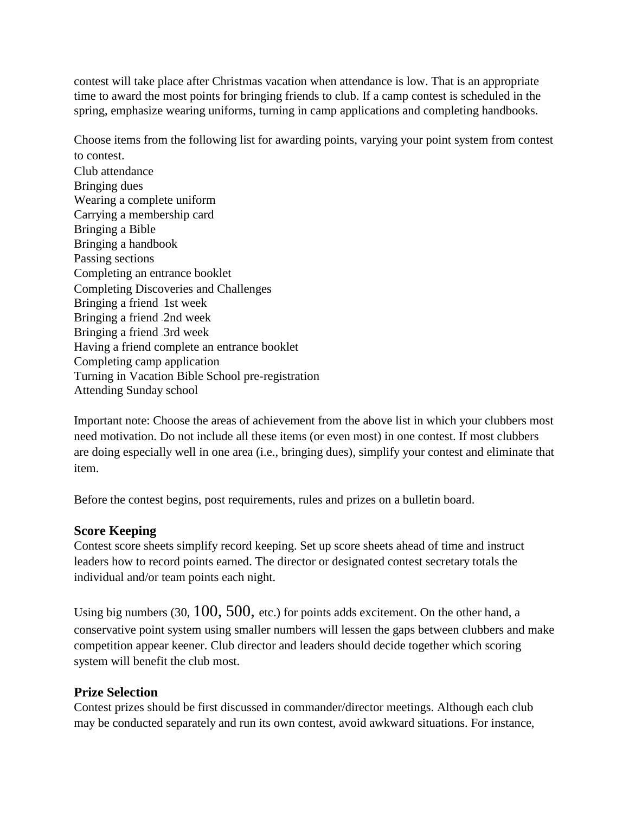contest will take place after Christmas vacation when attendance is low. That is an appropriate time to award the most points for bringing friends to club. If a camp contest is scheduled in the spring, emphasize wearing uniforms, turning in camp applications and completing handbooks.

Choose items from the following list for awarding points, varying your point system from contest to contest.

Club attendance Bringing dues Wearing a complete uniform Carrying a membership card Bringing a Bible Bringing a handbook Passing sections Completing an entrance booklet Completing Discoveries and Challenges Bringing a friend -1st week Bringing a friend 2nd week Bringing a friend -3rd week Having a friend complete an entrance booklet Completing camp application Turning in Vacation Bible School pre-registration Attending Sunday school

Important note: Choose the areas of achievement from the above list in which your clubbers most need motivation. Do not include all these items (or even most) in one contest. If most clubbers are doing especially well in one area (i.e., bringing dues), simplify your contest and eliminate that item.

Before the contest begins, post requirements, rules and prizes on a bulletin board.

#### **Score Keeping**

Contest score sheets simplify record keeping. Set up score sheets ahead of time and instruct leaders how to record points earned. The director or designated contest secretary totals the individual and/or team points each night.

Using big numbers (30, 100, 500, etc.) for points adds excitement. On the other hand, a conservative point system using smaller numbers will lessen the gaps between clubbers and make competition appear keener. Club director and leaders should decide together which scoring system will benefit the club most.

#### **Prize Selection**

Contest prizes should be first discussed in commander/director meetings. Although each club may be conducted separately and run its own contest, avoid awkward situations. For instance,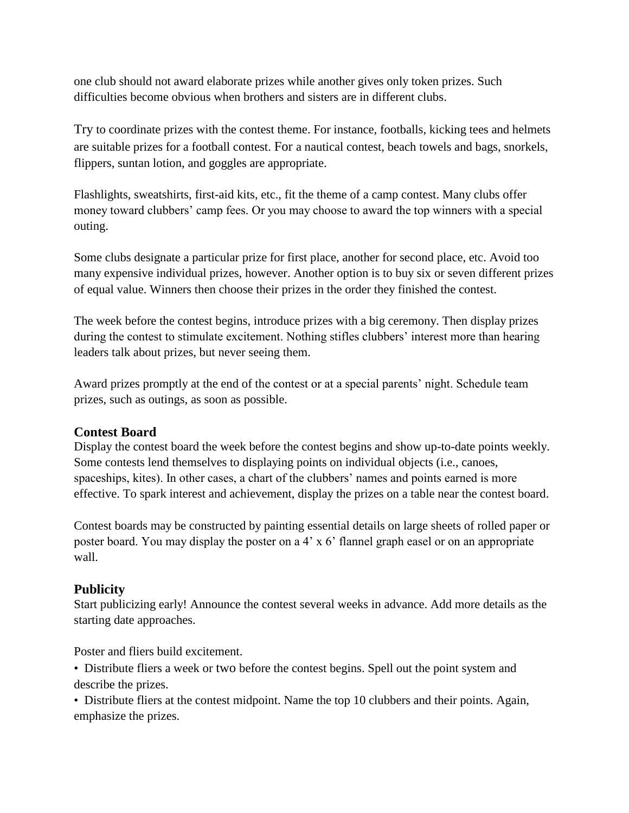one club should not award elaborate prizes while another gives only token prizes. Such difficulties become obvious when brothers and sisters are in different clubs.

Try to coordinate prizes with the contest theme. For instance, footballs, kicking tees and helmets are suitable prizes for a football contest. For a nautical contest, beach towels and bags, snorkels, flippers, suntan lotion, and goggles are appropriate.

Flashlights, sweatshirts, first-aid kits, etc., fit the theme of a camp contest. Many clubs offer money toward clubbers' camp fees. Or you may choose to award the top winners with a special outing.

Some clubs designate a particular prize for first place, another for second place, etc. Avoid too many expensive individual prizes, however. Another option is to buy six or seven different prizes of equal value. Winners then choose their prizes in the order they finished the contest.

The week before the contest begins, introduce prizes with a big ceremony. Then display prizes during the contest to stimulate excitement. Nothing stifles clubbers' interest more than hearing leaders talk about prizes, but never seeing them.

Award prizes promptly at the end of the contest or at a special parents' night. Schedule team prizes, such as outings, as soon as possible.

#### **Contest Board**

Display the contest board the week before the contest begins and show up-to-date points weekly. Some contests lend themselves to displaying points on individual objects (i.e., canoes, spaceships, kites). In other cases, a chart of the clubbers' names and points earned is more effective. To spark interest and achievement, display the prizes on a table near the contest board.

Contest boards may be constructed by painting essential details on large sheets of rolled paper or poster board. You may display the poster on a 4' x 6' flannel graph easel or on an appropriate wall.

### **Publicity**

Start publicizing early! Announce the contest several weeks in advance. Add more details as the starting date approaches.

Poster and fliers build excitement.

• Distribute fliers a week or two before the contest begins. Spell out the point system and describe the prizes.

• Distribute fliers at the contest midpoint. Name the top 10 clubbers and their points. Again, emphasize the prizes.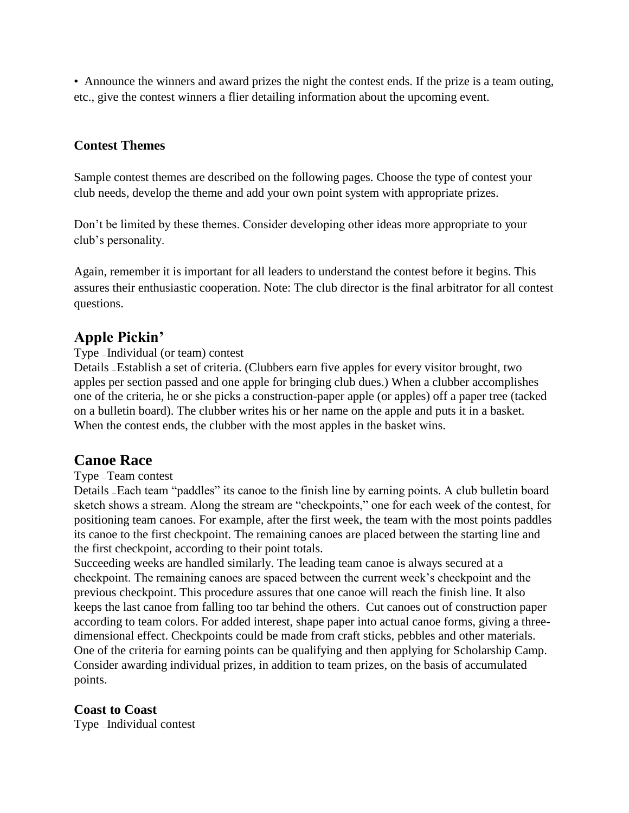• Announce the winners and award prizes the night the contest ends. If the prize is a team outing, etc., give the contest winners a flier detailing information about the upcoming event.

#### **Contest Themes**

Sample contest themes are described on the following pages. Choose the type of contest your club needs, develop the theme and add your own point system with appropriate prizes.

Don't be limited by these themes. Consider developing other ideas more appropriate to your club's personality.

Again, remember it is important for all leaders to understand the contest before it begins. This assures their enthusiastic cooperation. Note: The club director is the final arbitrator for all contest questions.

# **Apple Pickin'**

#### Type — Individual (or team) contest

Details — Establish a set of criteria. (Clubbers earn five apples for every visitor brought, two apples per section passed and one apple for bringing club dues.) When a clubber accomplishes one of the criteria, he or she picks a construction-paper apple (or apples) off a paper tree (tacked on a bulletin board). The clubber writes his or her name on the apple and puts it in a basket. When the contest ends, the clubber with the most apples in the basket wins.

# **Canoe Race**

#### Type — Team contest

Details — Each team "paddles" its canoe to the finish line by earning points. A club bulletin board sketch shows a stream. Along the stream are "checkpoints," one for each week of the contest, for positioning team canoes. For example, after the first week, the team with the most points paddles its canoe to the first checkpoint. The remaining canoes are placed between the starting line and the first checkpoint, according to their point totals.

Succeeding weeks are handled similarly. The leading team canoe is always secured at a checkpoint. The remaining canoes are spaced between the current week's checkpoint and the previous checkpoint. This procedure assures that one canoe will reach the finish line. It also keeps the last canoe from falling too tar behind the others. Cut canoes out of construction paper according to team colors. For added interest, shape paper into actual canoe forms, giving a threedimensional effect. Checkpoints could be made from craft sticks, pebbles and other materials. One of the criteria for earning points can be qualifying and then applying for Scholarship Camp. Consider awarding individual prizes, in addition to team prizes, on the basis of accumulated points.

#### **Coast to Coast**

Type — Individual contest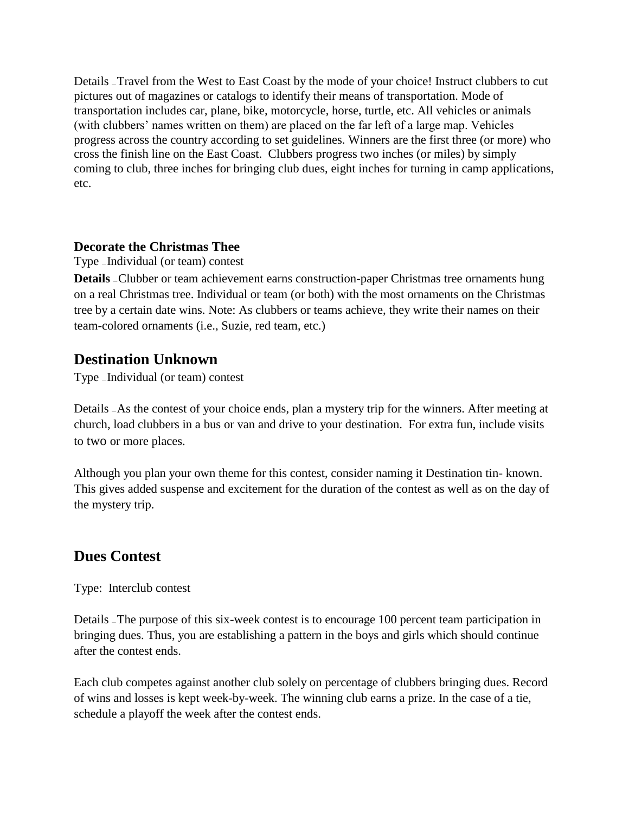Details — Travel from the West to East Coast by the mode of your choice! Instruct clubbers to cut pictures out of magazines or catalogs to identify their means of transportation. Mode of transportation includes car, plane, bike, motorcycle, horse, turtle, etc. All vehicles or animals (with clubbers' names written on them) are placed on the far left of a large map. Vehicles progress across the country according to set guidelines. Winners are the first three (or more) who cross the finish line on the East Coast. Clubbers progress two inches (or miles) by simply coming to club, three inches for bringing club dues, eight inches for turning in camp applications, etc.

#### **Decorate the Christmas Thee**

Type — Individual (or team) contest

**Details** - Clubber or team achievement earns construction-paper Christmas tree ornaments hung on a real Christmas tree. Individual or team (or both) with the most ornaments on the Christmas tree by a certain date wins. Note: As clubbers or teams achieve, they write their names on their team-colored ornaments (i.e., Suzie, red team, etc.)

# **Destination Unknown**

Type — Individual (or team) contest

Details — As the contest of your choice ends, plan a mystery trip for the winners. After meeting at church, load clubbers in a bus or van and drive to your destination. For extra fun, include visits to two or more places.

Although you plan your own theme for this contest, consider naming it Destination tin- known. This gives added suspense and excitement for the duration of the contest as well as on the day of the mystery trip.

# **Dues Contest**

Type: Interclub contest

Details — The purpose of this six-week contest is to encourage 100 percent team participation in bringing dues. Thus, you are establishing a pattern in the boys and girls which should continue after the contest ends.

Each club competes against another club solely on percentage of clubbers bringing dues. Record of wins and losses is kept week-by-week. The winning club earns a prize. In the case of a tie, schedule a playoff the week after the contest ends.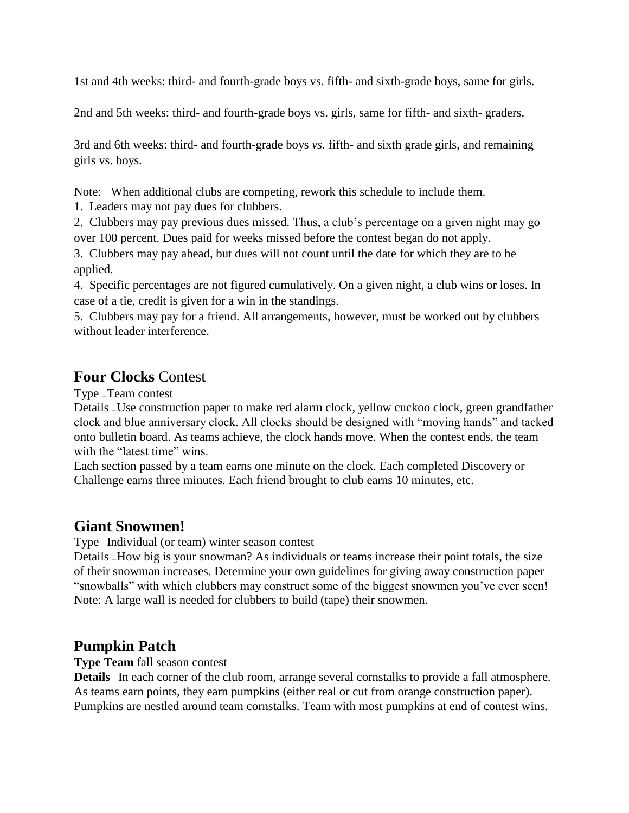1st and 4th weeks: third- and fourth-grade boys vs. fifth- and sixth-grade boys, same for girls.

2nd and 5th weeks: third- and fourth-grade boys vs. girls, same for fifth- and sixth- graders.

3rd and 6th weeks: third- and fourth-grade boys *vs.* fifth- and sixth grade girls, and remaining girls vs. boys.

Note: When additional clubs are competing, rework this schedule to include them.

1. Leaders may not pay dues for clubbers.

2. Clubbers may pay previous dues missed. Thus, a club's percentage on a given night may go over 100 percent. Dues paid for weeks missed before the contest began do not apply.

3. Clubbers may pay ahead, but dues will not count until the date for which they are to be applied.

4. Specific percentages are not figured cumulatively. On a given night, a club wins or loses. In case of a tie, credit is given for a win in the standings.

5. Clubbers may pay for a friend. All arrangements, however, must be worked out by clubbers without leader interference.

# **Four Clocks** Contest

Type — Team contest

Details — Use construction paper to make red alarm clock, yellow cuckoo clock, green grandfather clock and blue anniversary clock. All clocks should be designed with "moving hands" and tacked onto bulletin board. As teams achieve, the clock hands move. When the contest ends, the team with the "latest time" wins.

Each section passed by a team earns one minute on the clock. Each completed Discovery or Challenge earns three minutes. Each friend brought to club earns 10 minutes, etc.

# **Giant Snowmen!**

Type — Individual (or team) winter season contest

Details — How big is your snowman? As individuals or teams increase their point totals, the size of their snowman increases. Determine your own guidelines for giving away construction paper "snowballs" with which clubbers may construct some of the biggest snowmen you've ever seen! Note: A large wall is needed for clubbers to build (tape) their snowmen.

# **Pumpkin Patch**

#### **Type Team** fall season contest

**Details** In each corner of the club room, arrange several cornstalks to provide a fall atmosphere. As teams earn points, they earn pumpkins (either real or cut from orange construction paper). Pumpkins are nestled around team cornstalks. Team with most pumpkins at end of contest wins.